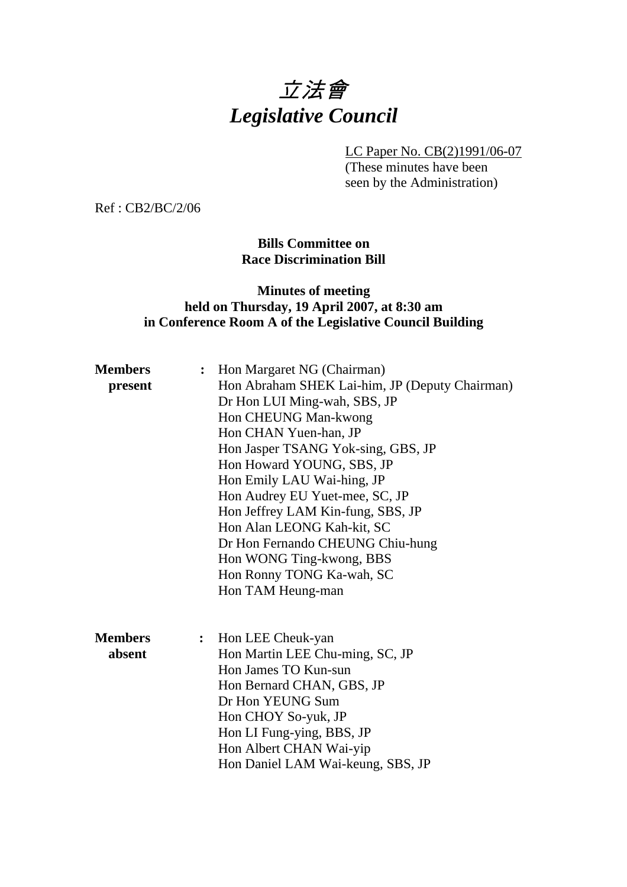# 立法會 *Legislative Council*

LC Paper No. CB(2)1991/06-07

(These minutes have been seen by the Administration)

Ref : CB2/BC/2/06

**Bills Committee on Race Discrimination Bill** 

## **Minutes of meeting held on Thursday, 19 April 2007, at 8:30 am in Conference Room A of the Legislative Council Building**

| <b>Members</b> | Hon Margaret NG (Chairman)<br>$\ddot{\cdot}$   |
|----------------|------------------------------------------------|
| present        | Hon Abraham SHEK Lai-him, JP (Deputy Chairman) |
|                | Dr Hon LUI Ming-wah, SBS, JP                   |
|                | Hon CHEUNG Man-kwong                           |
|                | Hon CHAN Yuen-han, JP                          |
|                | Hon Jasper TSANG Yok-sing, GBS, JP             |
|                | Hon Howard YOUNG, SBS, JP                      |
|                | Hon Emily LAU Wai-hing, JP                     |
|                | Hon Audrey EU Yuet-mee, SC, JP                 |
|                | Hon Jeffrey LAM Kin-fung, SBS, JP              |
|                | Hon Alan LEONG Kah-kit, SC                     |
|                | Dr Hon Fernando CHEUNG Chiu-hung               |
|                | Hon WONG Ting-kwong, BBS                       |
|                | Hon Ronny TONG Ka-wah, SC                      |
|                | Hon TAM Heung-man                              |
|                |                                                |
|                |                                                |
| <b>Members</b> | Hon LEE Cheuk-yan<br>: $\hfill \blacksquare$   |
| absent         | Hon Martin LEE Chu-ming, SC, JP                |
|                | Hon James TO Kun-sun                           |
|                | Hon Bernard CHAN, GBS, JP                      |
|                | Dr Hon YEUNG Sum                               |
|                | Hon CHOY So-yuk, JP                            |
|                | Hon LI Fung-ying, BBS, JP                      |
|                | Hon Albert CHAN Wai-yip                        |
|                | Hon Daniel LAM Wai-keung, SBS, JP              |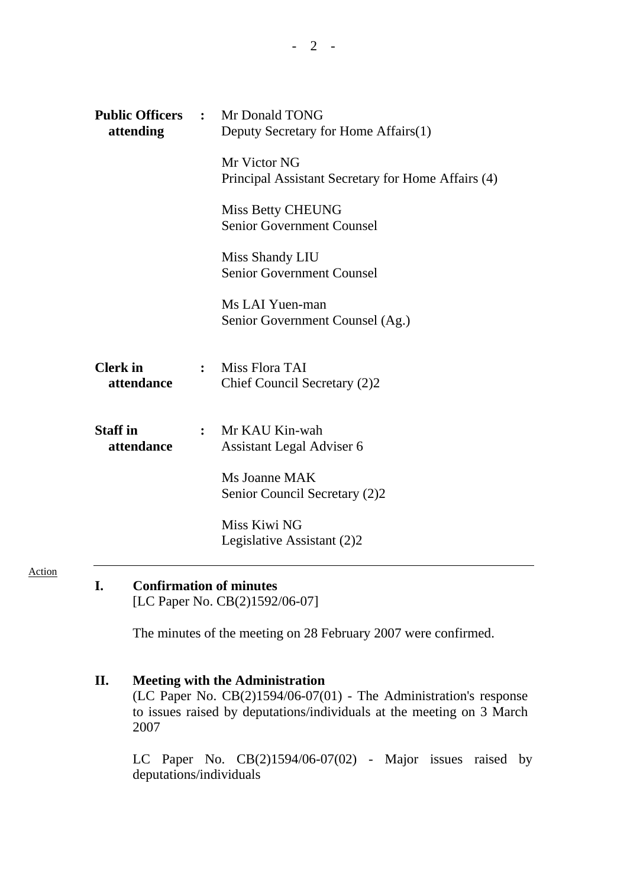| attending                     | <b>Public Officers : Mr Donald TONG</b><br>Deputy Secretary for Home Affairs(1) |                                                                    |
|-------------------------------|---------------------------------------------------------------------------------|--------------------------------------------------------------------|
|                               |                                                                                 | Mr Victor NG<br>Principal Assistant Secretary for Home Affairs (4) |
|                               |                                                                                 | Miss Betty CHEUNG<br><b>Senior Government Counsel</b>              |
|                               |                                                                                 | Miss Shandy LIU<br><b>Senior Government Counsel</b>                |
|                               |                                                                                 | Ms LAI Yuen-man<br>Senior Government Counsel (Ag.)                 |
| <b>Clerk</b> in<br>attendance |                                                                                 | : Miss Flora TAI<br>Chief Council Secretary (2)2                   |
| <b>Staff</b> in<br>attendance |                                                                                 | : Mr KAU Kin-wah<br>Assistant Legal Adviser 6                      |
|                               |                                                                                 | Ms Joanne MAK<br>Senior Council Secretary (2)2                     |
|                               |                                                                                 | Miss Kiwi NG<br>Legislative Assistant (2)2                         |

Action

# **I. Confirmation of minutes**

[LC Paper No. CB(2)1592/06-07]

The minutes of the meeting on 28 February 2007 were confirmed.

**II. Meeting with the Administration**  (LC Paper No.  $CB(2)1594/06-07(01)$  - The Administration's response to issues raised by deputations/individuals at the meeting on 3 March 2007

 LC Paper No. CB(2)1594/06-07(02) - Major issues raised by deputations/individuals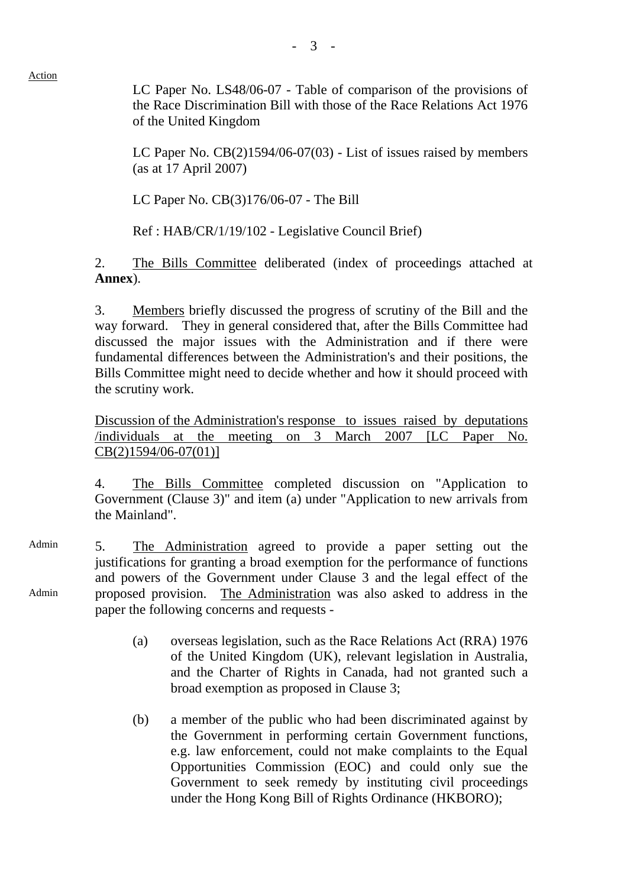Action

 LC Paper No. LS48/06-07 - Table of comparison of the provisions of the Race Discrimination Bill with those of the Race Relations Act 1976

LC Paper No. CB(2)1594/06-07(03) - List of issues raised by members (as at 17 April 2007)

LC Paper No. CB(3)176/06-07 - The Bill

of the United Kingdom

Ref : HAB/CR/1/19/102 - Legislative Council Brief)

2. The Bills Committee deliberated (index of proceedings attached at **Annex**).

3. Members briefly discussed the progress of scrutiny of the Bill and the way forward. They in general considered that, after the Bills Committee had discussed the major issues with the Administration and if there were fundamental differences between the Administration's and their positions, the Bills Committee might need to decide whether and how it should proceed with the scrutiny work.

Discussion of the Administration's response to issues raised by deputations /individuals at the meeting on 3 March 2007 [LC Paper No. CB(2)1594/06-07(01)]

4. The Bills Committee completed discussion on "Application to Government (Clause 3)" and item (a) under "Application to new arrivals from the Mainland".

Admin Admin 5. The Administration agreed to provide a paper setting out the justifications for granting a broad exemption for the performance of functions and powers of the Government under Clause 3 and the legal effect of the proposed provision. The Administration was also asked to address in the paper the following concerns and requests -

- (a) overseas legislation, such as the Race Relations Act (RRA) 1976 of the United Kingdom (UK), relevant legislation in Australia, and the Charter of Rights in Canada, had not granted such a broad exemption as proposed in Clause 3;
- (b) a member of the public who had been discriminated against by the Government in performing certain Government functions, e.g. law enforcement, could not make complaints to the Equal Opportunities Commission (EOC) and could only sue the Government to seek remedy by instituting civil proceedings under the Hong Kong Bill of Rights Ordinance (HKBORO);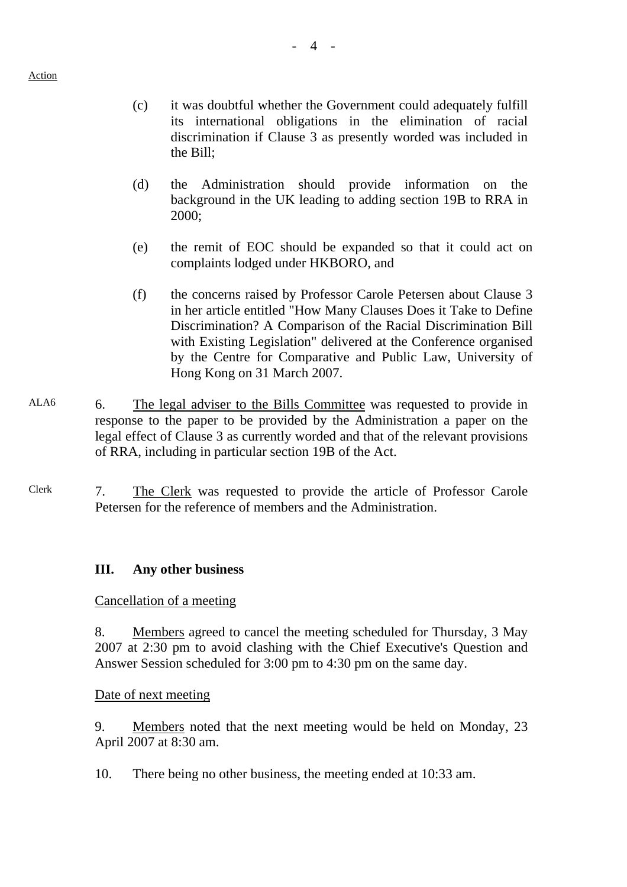- (c) it was doubtful whether the Government could adequately fulfill its international obligations in the elimination of racial discrimination if Clause 3 as presently worded was included in the Bill;
- (d) the Administration should provide information on the background in the UK leading to adding section 19B to RRA in 2000;
- (e) the remit of EOC should be expanded so that it could act on complaints lodged under HKBORO, and
- (f) the concerns raised by Professor Carole Petersen about Clause 3 in her article entitled "How Many Clauses Does it Take to Define Discrimination? A Comparison of the Racial Discrimination Bill with Existing Legislation" delivered at the Conference organised by the Centre for Comparative and Public Law, University of Hong Kong on 31 March 2007.
- ALA6 6. The legal adviser to the Bills Committee was requested to provide in response to the paper to be provided by the Administration a paper on the legal effect of Clause 3 as currently worded and that of the relevant provisions of RRA, including in particular section 19B of the Act.
- Clerk 7. The Clerk was requested to provide the article of Professor Carole Petersen for the reference of members and the Administration.

## **III. Any other business**

#### Cancellation of a meeting

8. Members agreed to cancel the meeting scheduled for Thursday, 3 May 2007 at 2:30 pm to avoid clashing with the Chief Executive's Question and Answer Session scheduled for 3:00 pm to 4:30 pm on the same day.

#### Date of next meeting

9. Members noted that the next meeting would be held on Monday, 23 April 2007 at 8:30 am.

10. There being no other business, the meeting ended at 10:33 am.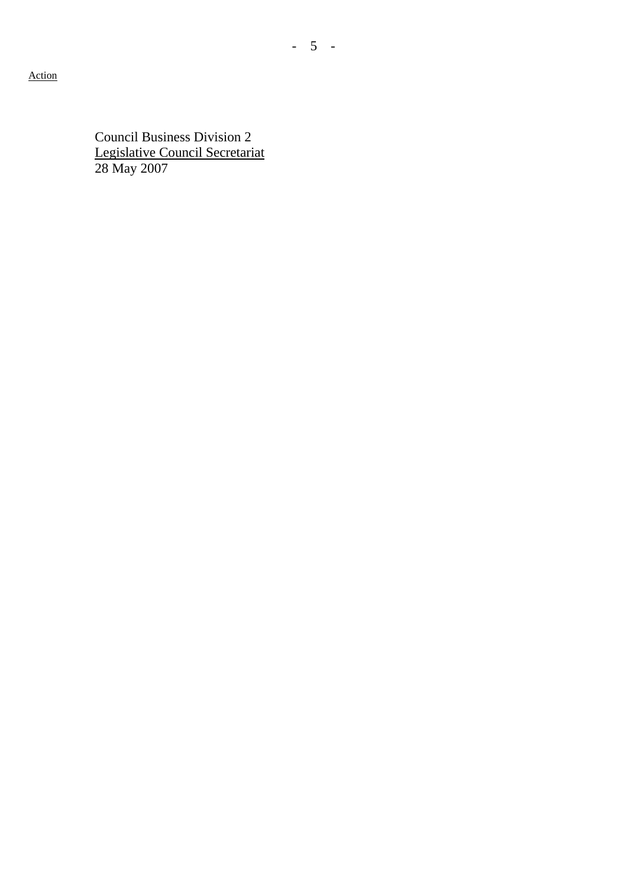Action

Council Business Division 2 Legislative Council Secretariat 28 May 2007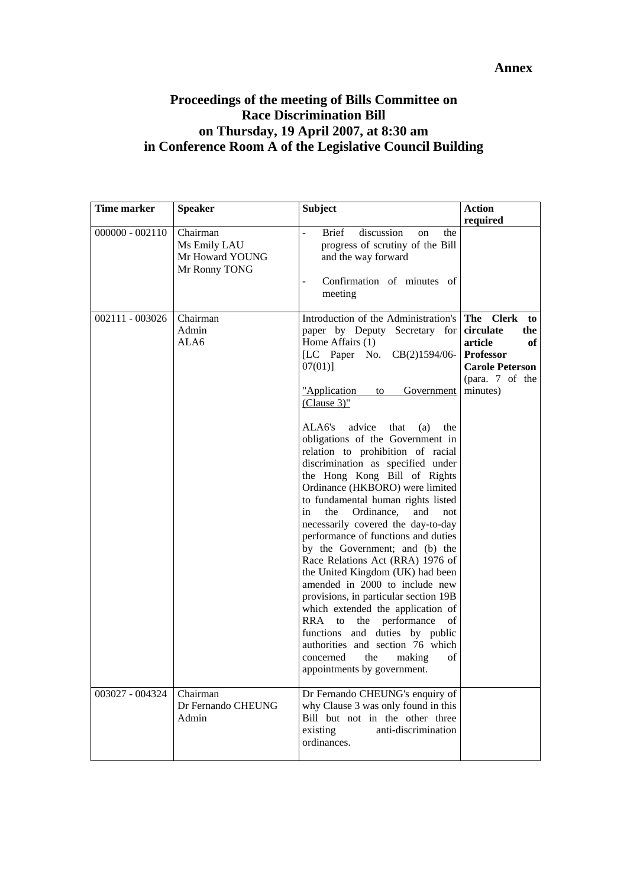#### **Annex**

## **Proceedings of the meeting of Bills Committee on Race Discrimination Bill on Thursday, 19 April 2007, at 8:30 am in Conference Room A of the Legislative Council Building**

| Time marker       | Speaker                                                      | <b>Subject</b>                                                                                                                                                                                                                                                                                                                                                                                                                                                                                                                                                                                                                                                                                                                                                                                                                                                                                                                                                                                     | <b>Action</b><br>required                                                                                                                   |
|-------------------|--------------------------------------------------------------|----------------------------------------------------------------------------------------------------------------------------------------------------------------------------------------------------------------------------------------------------------------------------------------------------------------------------------------------------------------------------------------------------------------------------------------------------------------------------------------------------------------------------------------------------------------------------------------------------------------------------------------------------------------------------------------------------------------------------------------------------------------------------------------------------------------------------------------------------------------------------------------------------------------------------------------------------------------------------------------------------|---------------------------------------------------------------------------------------------------------------------------------------------|
| $000000 - 002110$ | Chairman<br>Ms Emily LAU<br>Mr Howard YOUNG<br>Mr Ronny TONG | Brief<br>discussion<br>the<br>on<br>progress of scrutiny of the Bill<br>and the way forward<br>Confirmation of minutes of<br>$\overline{\phantom{a}}$<br>meeting                                                                                                                                                                                                                                                                                                                                                                                                                                                                                                                                                                                                                                                                                                                                                                                                                                   |                                                                                                                                             |
| 002111 - 003026   | Chairman<br>Admin<br>ALA6                                    | Introduction of the Administration's<br>paper by Deputy Secretary for<br>Home Affairs (1)<br>[LC Paper No.<br>$CB(2)1594/06-$<br>$07(01)$ ]<br><u>"Application</u><br>Government<br>to<br>$(Clause 3)$ "<br>ALA6's<br>advice<br>that<br>(a)<br>the<br>obligations of the Government in<br>relation to prohibition of racial<br>discrimination as specified under<br>the Hong Kong Bill of Rights<br>Ordinance (HKBORO) were limited<br>to fundamental human rights listed<br>in<br>the<br>Ordinance,<br>and<br>not<br>necessarily covered the day-to-day<br>performance of functions and duties<br>by the Government; and (b) the<br>Race Relations Act (RRA) 1976 of<br>the United Kingdom (UK) had been<br>amended in 2000 to include new<br>provisions, in particular section 19B<br>which extended the application of<br>RRA to the performance<br>οf<br>functions and duties by public<br>authorities and section 76 which<br>concerned<br>the<br>making<br>of<br>appointments by government. | The<br><b>Clerk</b><br>to<br>circulate<br>the<br>article<br>оf<br><b>Professor</b><br><b>Carole Peterson</b><br>(para. 7 of the<br>minutes) |
| 003027 - 004324   | Chairman<br>Dr Fernando CHEUNG<br>Admin                      | Dr Fernando CHEUNG's enquiry of<br>why Clause 3 was only found in this<br>Bill but not in the other three<br>anti-discrimination<br>existing<br>ordinances.                                                                                                                                                                                                                                                                                                                                                                                                                                                                                                                                                                                                                                                                                                                                                                                                                                        |                                                                                                                                             |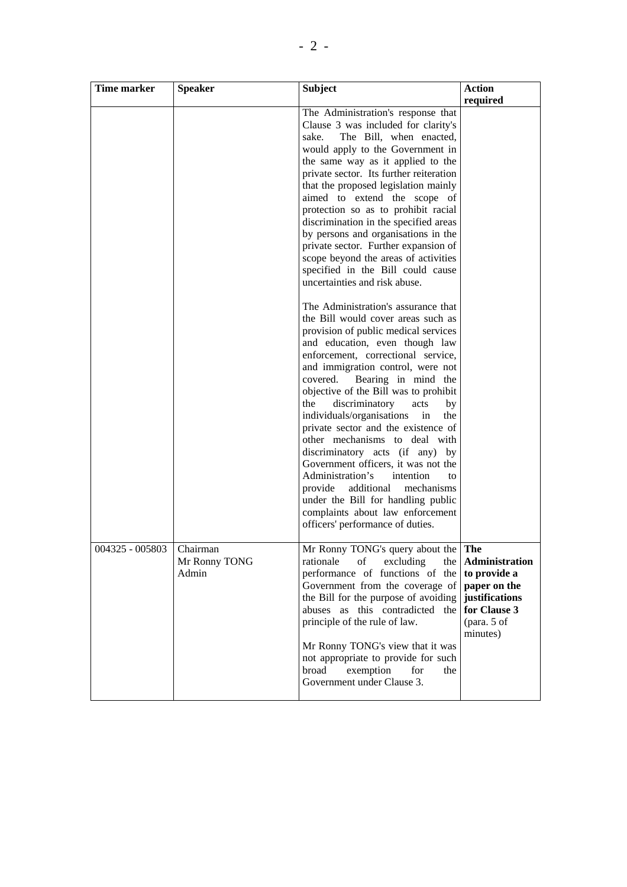| Time marker                | <b>Speaker</b>         | <b>Subject</b>                                                                                                                                                                                                                                                                                                                                                                                                                                                                                                                                                                                                                                                                                                                                                                                                                                                                                                                                                                                                                                                                                                                                                                                                                                                                                                                   | <b>Action</b>                                                                                               |
|----------------------------|------------------------|----------------------------------------------------------------------------------------------------------------------------------------------------------------------------------------------------------------------------------------------------------------------------------------------------------------------------------------------------------------------------------------------------------------------------------------------------------------------------------------------------------------------------------------------------------------------------------------------------------------------------------------------------------------------------------------------------------------------------------------------------------------------------------------------------------------------------------------------------------------------------------------------------------------------------------------------------------------------------------------------------------------------------------------------------------------------------------------------------------------------------------------------------------------------------------------------------------------------------------------------------------------------------------------------------------------------------------|-------------------------------------------------------------------------------------------------------------|
|                            |                        | The Administration's response that<br>Clause 3 was included for clarity's<br>The Bill, when enacted,<br>sake.<br>would apply to the Government in<br>the same way as it applied to the<br>private sector. Its further reiteration<br>that the proposed legislation mainly<br>aimed to extend the scope of<br>protection so as to prohibit racial<br>discrimination in the specified areas<br>by persons and organisations in the<br>private sector. Further expansion of<br>scope beyond the areas of activities<br>specified in the Bill could cause<br>uncertainties and risk abuse.<br>The Administration's assurance that<br>the Bill would cover areas such as<br>provision of public medical services<br>and education, even though law<br>enforcement, correctional service,<br>and immigration control, were not<br>covered.<br>Bearing in mind the<br>objective of the Bill was to prohibit<br>discriminatory<br>the<br>acts<br>by<br>individuals/organisations<br>in<br>the<br>private sector and the existence of<br>other mechanisms to deal with<br>discriminatory acts (if any) by<br>Government officers, it was not the<br>Administration's<br>intention<br>to<br>provide additional<br>mechanisms<br>under the Bill for handling public<br>complaints about law enforcement<br>officers' performance of duties. | required                                                                                                    |
| 004325 - 005803   Chairman | Mr Ronny TONG<br>Admin | Mr Ronny TONG's query about the The<br>of excluding<br>rationale<br>the<br>performance of functions of the<br>Government from the coverage of<br>the Bill for the purpose of avoiding<br>abuses as this contradicted the<br>principle of the rule of law.<br>Mr Ronny TONG's view that it was<br>not appropriate to provide for such<br>broad<br>exemption<br>for<br>the<br>Government under Clause 3.                                                                                                                                                                                                                                                                                                                                                                                                                                                                                                                                                                                                                                                                                                                                                                                                                                                                                                                           | Administration<br>to provide a<br>paper on the<br>justifications<br>for Clause 3<br>(para. 5 of<br>minutes) |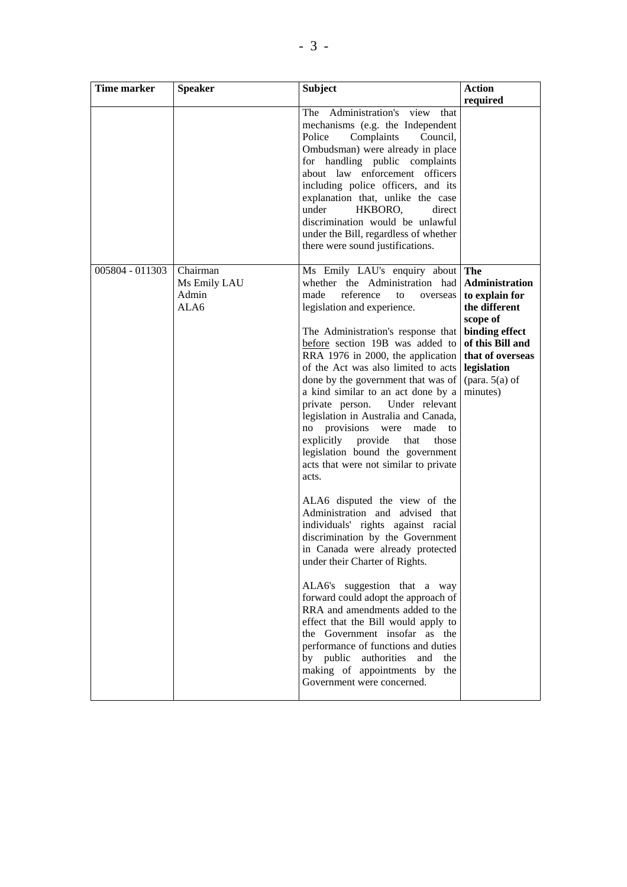| Time marker     | <b>Speaker</b>                            | <b>Subject</b>                                                                                                                                                                                                                                                                                                                                                                                                                                                                                                                                                                                                                                                                                                                                                                                                                                                                                                                                                                                                                                                                                                                                                            | <b>Action</b>                                                                                                                                                                 |
|-----------------|-------------------------------------------|---------------------------------------------------------------------------------------------------------------------------------------------------------------------------------------------------------------------------------------------------------------------------------------------------------------------------------------------------------------------------------------------------------------------------------------------------------------------------------------------------------------------------------------------------------------------------------------------------------------------------------------------------------------------------------------------------------------------------------------------------------------------------------------------------------------------------------------------------------------------------------------------------------------------------------------------------------------------------------------------------------------------------------------------------------------------------------------------------------------------------------------------------------------------------|-------------------------------------------------------------------------------------------------------------------------------------------------------------------------------|
|                 |                                           |                                                                                                                                                                                                                                                                                                                                                                                                                                                                                                                                                                                                                                                                                                                                                                                                                                                                                                                                                                                                                                                                                                                                                                           | required                                                                                                                                                                      |
|                 |                                           | Administration's view<br>The<br>that<br>mechanisms (e.g. the Independent<br>Police<br>Complaints Council,<br>Ombudsman) were already in place<br>for handling public complaints<br>about law enforcement officers<br>including police officers, and its<br>explanation that, unlike the case<br>under<br>HKBORO,<br>direct<br>discrimination would be unlawful<br>under the Bill, regardless of whether<br>there were sound justifications.                                                                                                                                                                                                                                                                                                                                                                                                                                                                                                                                                                                                                                                                                                                               |                                                                                                                                                                               |
| 005804 - 011303 | Chairman<br>Ms Emily LAU<br>Admin<br>ALA6 | Ms Emily LAU's enquiry about<br>whether the Administration had<br>made<br>reference<br>to<br>overseas<br>legislation and experience.<br>The Administration's response that<br>before section 19B was added to<br>RRA 1976 in 2000, the application<br>of the Act was also limited to acts<br>done by the government that was of<br>a kind similar to an act done by a<br>private person.<br>Under relevant<br>legislation in Australia and Canada,<br>no provisions were<br>made<br>to<br>explicitly provide<br>that<br>those<br>legislation bound the government<br>acts that were not similar to private<br>acts.<br>ALA6 disputed the view of the<br>Administration and advised that<br>individuals' rights against racial<br>discrimination by the Government<br>in Canada were already protected<br>under their Charter of Rights.<br>ALA6's suggestion that a way<br>forward could adopt the approach of<br>RRA and amendments added to the<br>effect that the Bill would apply to<br>the Government insofar as the<br>performance of functions and duties<br>by public<br>authorities<br>and<br>the<br>making of appointments by the<br>Government were concerned. | The<br>Administration<br>to explain for<br>the different<br>scope of<br>binding effect<br>of this Bill and<br>that of overseas<br>legislation<br>(para. $5(a)$ of<br>minutes) |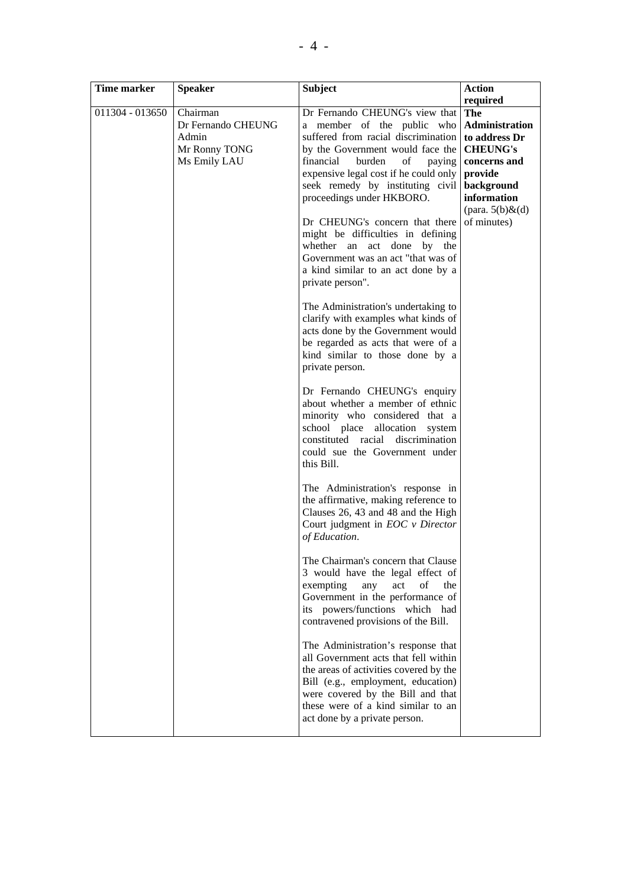| Time marker     | <b>Speaker</b>                                                           | <b>Subject</b>                                                                                                                                                                                                                                                                                                                                                                                                                                                                                      | <b>Action</b>                                                                                                                                                      |
|-----------------|--------------------------------------------------------------------------|-----------------------------------------------------------------------------------------------------------------------------------------------------------------------------------------------------------------------------------------------------------------------------------------------------------------------------------------------------------------------------------------------------------------------------------------------------------------------------------------------------|--------------------------------------------------------------------------------------------------------------------------------------------------------------------|
| 011304 - 013650 | Chairman<br>Dr Fernando CHEUNG<br>Admin<br>Mr Ronny TONG<br>Ms Emily LAU | Dr Fernando CHEUNG's view that<br>a member of the public who<br>suffered from racial discrimination<br>by the Government would face the<br>burden<br>financial<br>of<br>paying<br>expensive legal cost if he could only<br>seek remedy by instituting civil<br>proceedings under HKBORO.<br>Dr CHEUNG's concern that there<br>might be difficulties in defining<br>whether an<br>act done<br>by the<br>Government was an act "that was of<br>a kind similar to an act done by a<br>private person". | required<br>The<br>Administration<br>to address Dr<br><b>CHEUNG's</b><br>concerns and<br>provide<br>background<br>information<br>(para. $5(b)$ &(d)<br>of minutes) |
|                 |                                                                          | The Administration's undertaking to<br>clarify with examples what kinds of<br>acts done by the Government would<br>be regarded as acts that were of a<br>kind similar to those done by a<br>private person.                                                                                                                                                                                                                                                                                         |                                                                                                                                                                    |
|                 |                                                                          | Dr Fernando CHEUNG's enquiry<br>about whether a member of ethnic<br>minority who considered that a<br>school place allocation<br>system<br>constituted racial discrimination<br>could sue the Government under<br>this Bill.                                                                                                                                                                                                                                                                        |                                                                                                                                                                    |
|                 |                                                                          | The Administration's response in<br>the affirmative, making reference to<br>Clauses 26, 43 and 48 and the High<br>Court judgment in EOC v Director<br>of Education.                                                                                                                                                                                                                                                                                                                                 |                                                                                                                                                                    |
|                 |                                                                          | The Chairman's concern that Clause<br>3 would have the legal effect of<br>exempting<br>any<br>act<br>of<br>the<br>Government in the performance of<br>its powers/functions which had<br>contravened provisions of the Bill.                                                                                                                                                                                                                                                                         |                                                                                                                                                                    |
|                 |                                                                          | The Administration's response that<br>all Government acts that fell within<br>the areas of activities covered by the<br>Bill (e.g., employment, education)<br>were covered by the Bill and that<br>these were of a kind similar to an<br>act done by a private person.                                                                                                                                                                                                                              |                                                                                                                                                                    |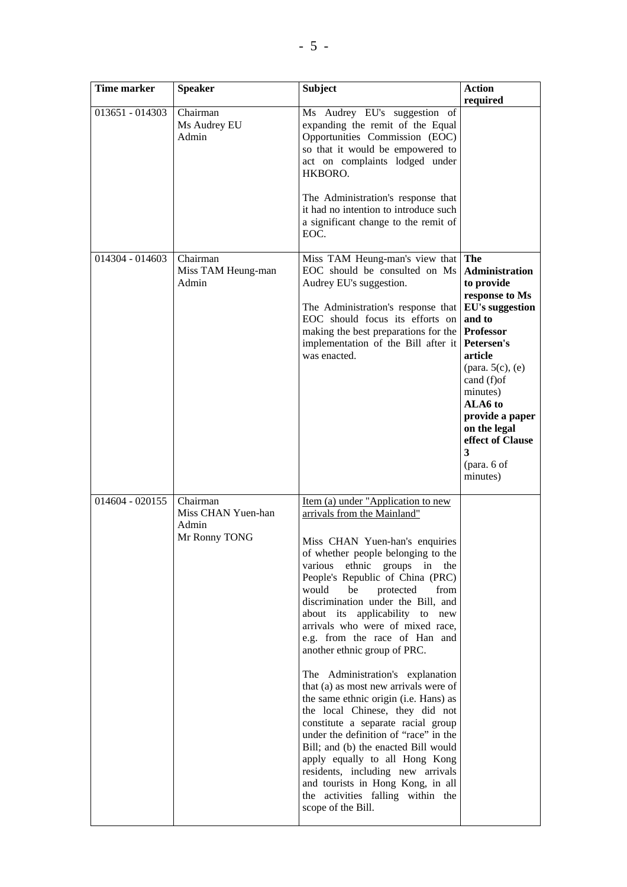| <b>Time marker</b> | <b>Speaker</b>                                           | <b>Subject</b>                                                                                                                                                                                                                                                                                                                                                                                                                                                                                                                                                                                                                                                                                                                                                                                                                                                                                 | <b>Action</b><br>required                                                                                                                                                                                                                                                                           |
|--------------------|----------------------------------------------------------|------------------------------------------------------------------------------------------------------------------------------------------------------------------------------------------------------------------------------------------------------------------------------------------------------------------------------------------------------------------------------------------------------------------------------------------------------------------------------------------------------------------------------------------------------------------------------------------------------------------------------------------------------------------------------------------------------------------------------------------------------------------------------------------------------------------------------------------------------------------------------------------------|-----------------------------------------------------------------------------------------------------------------------------------------------------------------------------------------------------------------------------------------------------------------------------------------------------|
| 013651 - 014303    | Chairman<br>Ms Audrey EU<br>Admin                        | Ms Audrey EU's suggestion of<br>expanding the remit of the Equal<br>Opportunities Commission (EOC)<br>so that it would be empowered to<br>act on complaints lodged under<br>HKBORO.<br>The Administration's response that<br>it had no intention to introduce such<br>a significant change to the remit of<br>EOC.                                                                                                                                                                                                                                                                                                                                                                                                                                                                                                                                                                             |                                                                                                                                                                                                                                                                                                     |
| 014304 - 014603    | Chairman<br>Miss TAM Heung-man<br>Admin                  | Miss TAM Heung-man's view that<br>EOC should be consulted on Ms<br>Audrey EU's suggestion.<br>The Administration's response that<br>EOC should focus its efforts on<br>making the best preparations for the<br>implementation of the Bill after it<br>was enacted.                                                                                                                                                                                                                                                                                                                                                                                                                                                                                                                                                                                                                             | The<br><b>Administration</b><br>to provide<br>response to Ms<br><b>EU's suggestion</b><br>and to<br><b>Professor</b><br>Petersen's<br>article<br>(para. $5(c)$ , $(e)$<br>cand (f) of<br>minutes)<br>ALA6 to<br>provide a paper<br>on the legal<br>effect of Clause<br>3<br>(para. 6 of<br>minutes) |
| 014604 - 020155    | Chairman<br>Miss CHAN Yuen-han<br>Admin<br>Mr Ronny TONG | Item (a) under "Application to new<br>arrivals from the Mainland"<br>Miss CHAN Yuen-han's enquiries<br>of whether people belonging to the<br>ethnic groups<br>various<br>in<br>the<br>People's Republic of China (PRC)<br>be<br>would<br>protected<br>from<br>discrimination under the Bill, and<br>about its applicability to new<br>arrivals who were of mixed race,<br>e.g. from the race of Han and<br>another ethnic group of PRC.<br>The Administration's explanation<br>that (a) as most new arrivals were of<br>the same ethnic origin (i.e. Hans) as<br>the local Chinese, they did not<br>constitute a separate racial group<br>under the definition of "race" in the<br>Bill; and (b) the enacted Bill would<br>apply equally to all Hong Kong<br>residents, including new arrivals<br>and tourists in Hong Kong, in all<br>the activities falling within the<br>scope of the Bill. |                                                                                                                                                                                                                                                                                                     |